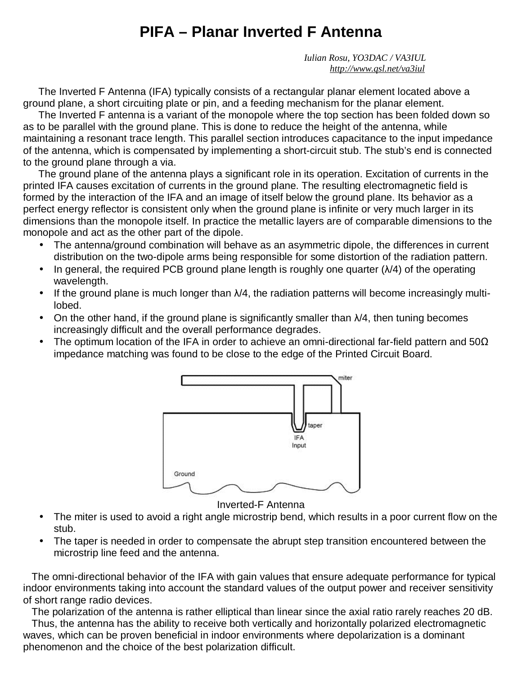# **PIFA – Planar Inverted F Antenna**

 *Iulian Rosu, YO3DAC / VA3IUL <http://www.qsl.net/va3iul>*

The Inverted F Antenna (IFA) typically consists of a rectangular planar element located above a ground plane, a short circuiting plate or pin, and a feeding mechanism for the planar element.

The Inverted F antenna is a variant of the monopole where the top section has been folded down so as to be parallel with the ground plane. This is done to reduce the height of the antenna, while maintaining a resonant trace length. This parallel section introduces capacitance to the input impedance of the antenna, which is compensated by implementing a short-circuit stub. The stub's end is connected to the ground plane through a via.

The ground plane of the antenna plays a significant role in its operation. Excitation of currents in the printed IFA causes excitation of currents in the ground plane. The resulting electromagnetic field is formed by the interaction of the IFA and an image of itself below the ground plane. Its behavior as a perfect energy reflector is consistent only when the ground plane is infinite or very much larger in its dimensions than the monopole itself. In practice the metallic layers are of comparable dimensions to the monopole and act as the other part of the dipole.

- The antenna/ground combination will behave as an asymmetric dipole, the differences in current distribution on the two-dipole arms being responsible for some distortion of the radiation pattern.
- In general, the required PCB ground plane length is roughly one quarter  $(\lambda/4)$  of the operating wavelength.
- If the ground plane is much longer than  $\lambda/4$ , the radiation patterns will become increasingly multilobed.
- On the other hand, if the ground plane is significantly smaller than  $\lambda/4$ , then tuning becomes increasingly difficult and the overall performance degrades.
- The optimum location of the IFA in order to achieve an omni-directional far-field pattern and 50 $\Omega$ impedance matching was found to be close to the edge of the Printed Circuit Board.



Inverted-F Antenna

- The miter is used to avoid a right angle microstrip bend, which results in a poor current flow on the stub.
- The taper is needed in order to compensate the abrupt step transition encountered between the microstrip line feed and the antenna.

 The omni-directional behavior of the IFA with gain values that ensure adequate performance for typical indoor environments taking into account the standard values of the output power and receiver sensitivity of short range radio devices.

 The polarization of the antenna is rather elliptical than linear since the axial ratio rarely reaches 20 dB. Thus, the antenna has the ability to receive both vertically and horizontally polarized electromagnetic waves, which can be proven beneficial in indoor environments where depolarization is a dominant phenomenon and the choice of the best polarization difficult.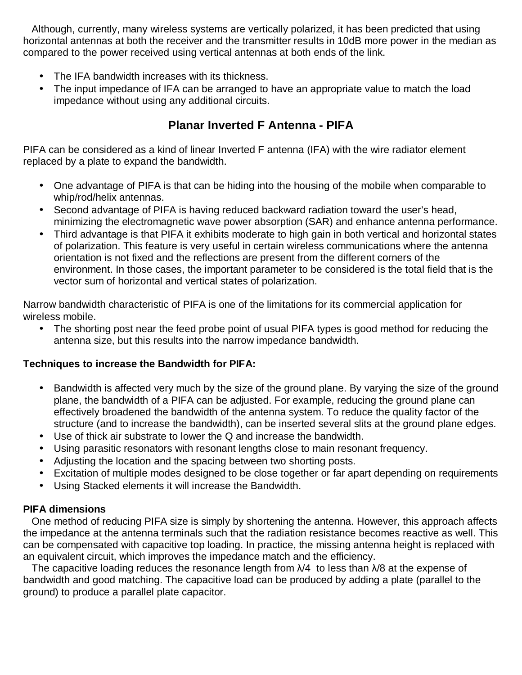Although, currently, many wireless systems are vertically polarized, it has been predicted that using horizontal antennas at both the receiver and the transmitter results in 10dB more power in the median as compared to the power received using vertical antennas at both ends of the link.

- The IFA bandwidth increases with its thickness.
- The input impedance of IFA can be arranged to have an appropriate value to match the load impedance without using any additional circuits.

# **Planar Inverted F Antenna - PIFA**

PIFA can be considered as a kind of linear Inverted F antenna (IFA) with the wire radiator element replaced by a plate to expand the bandwidth.

- One advantage of PIFA is that can be hiding into the housing of the mobile when comparable to whip/rod/helix antennas.
- Second advantage of PIFA is having reduced backward radiation toward the user's head, minimizing the electromagnetic wave power absorption (SAR) and enhance antenna performance.
- Third advantage is that PIFA it exhibits moderate to high gain in both vertical and horizontal states of polarization. This feature is very useful in certain wireless communications where the antenna orientation is not fixed and the reflections are present from the different corners of the environment. In those cases, the important parameter to be considered is the total field that is the vector sum of horizontal and vertical states of polarization.

Narrow bandwidth characteristic of PIFA is one of the limitations for its commercial application for wireless mobile.

• The shorting post near the feed probe point of usual PIFA types is good method for reducing the antenna size, but this results into the narrow impedance bandwidth.

#### **Techniques to increase the Bandwidth for PIFA:**

- Bandwidth is affected very much by the size of the ground plane. By varying the size of the ground plane, the bandwidth of a PIFA can be adjusted. For example, reducing the ground plane can effectively broadened the bandwidth of the antenna system. To reduce the quality factor of the structure (and to increase the bandwidth), can be inserted several slits at the ground plane edges.
- Use of thick air substrate to lower the Q and increase the bandwidth.
- Using parasitic resonators with resonant lengths close to main resonant frequency.
- Adjusting the location and the spacing between two shorting posts.
- Excitation of multiple modes designed to be close together or far apart depending on requirements
- Using Stacked elements it will increase the Bandwidth.

#### **PIFA dimensions**

 One method of reducing PIFA size is simply by shortening the antenna. However, this approach affects the impedance at the antenna terminals such that the radiation resistance becomes reactive as well. This can be compensated with capacitive top loading. In practice, the missing antenna height is replaced with an equivalent circuit, which improves the impedance match and the efficiency.

The capacitive loading reduces the resonance length from  $\lambda/4$  to less than  $\lambda/8$  at the expense of bandwidth and good matching. The capacitive load can be produced by adding a plate (parallel to the ground) to produce a parallel plate capacitor.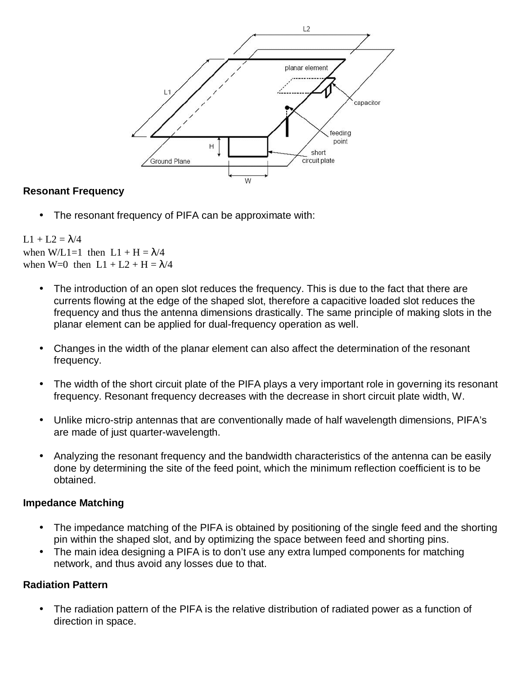

#### **Resonant Frequency**

The resonant frequency of PIFA can be approximate with:

#### $L1 + L2 = \lambda/4$ when W/L1=1 then  $L1 + H = \lambda/4$ when W=0 then  $L1 + L2 + H = \lambda/4$

- The introduction of an open slot reduces the frequency. This is due to the fact that there are currents flowing at the edge of the shaped slot, therefore a capacitive loaded slot reduces the frequency and thus the antenna dimensions drastically. The same principle of making slots in the planar element can be applied for dual-frequency operation as well.
- Changes in the width of the planar element can also affect the determination of the resonant frequency.
- The width of the short circuit plate of the PIFA plays a very important role in governing its resonant frequency. Resonant frequency decreases with the decrease in short circuit plate width, W.
- Unlike micro-strip antennas that are conventionally made of half wavelength dimensions, PIFA's are made of just quarter-wavelength.
- Analyzing the resonant frequency and the bandwidth characteristics of the antenna can be easily done by determining the site of the feed point, which the minimum reflection coefficient is to be obtained.

#### **Impedance Matching**

- The impedance matching of the PIFA is obtained by positioning of the single feed and the shorting pin within the shaped slot, and by optimizing the space between feed and shorting pins.
- The main idea designing a PIFA is to don't use any extra lumped components for matching network, and thus avoid any losses due to that.

#### **Radiation Pattern**

• The radiation pattern of the PIFA is the relative distribution of radiated power as a function of direction in space.